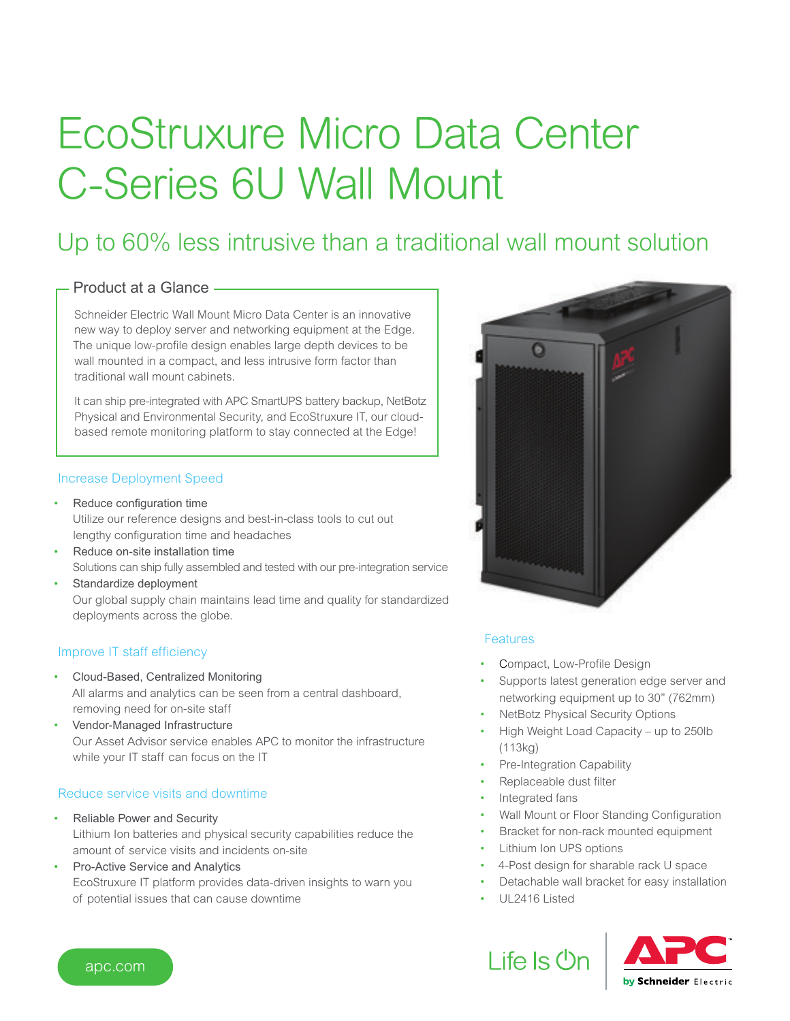# EcoStruxure Micro Data Center C-Series 6U Wall Mount

### Up to 60% less intrusive than a traditional wall mount solution

#### Product at a Glance

Schneider Electric Wall Mount Micro Data Center is an innovative new way to deploy server and networking equipment at the Edge. The unique low-profile design enables large depth devices to be wall mounted in a compact, and less intrusive form factor than traditional wall mount cabinets.

It can ship pre-integrated with APC SmartUPS battery backup, NetBotz Physical and Environmental Security, and EcoStruxure IT, our cloudbased remote monitoring platform to stay connected at the Edge!

#### Increase Deployment Speed

- Reduce configuration time Utilize our reference designs and best-in-class tools to cut out lengthy configuration time and headaches
- Reduce on-site installation time Solutions can ship fully assembled and tested with our pre-integration service
- Standardize deployment Our global supply chain maintains lead time and quality for standardized deployments across the globe.

#### Improve IT staff efficiency

- Cloud-Based, Centralized Monitoring All alarms and analytics can be seen from a central dashboard, removing need for on-site staff
- Vendor-Managed Infrastructure Our Asset Advisor service enables APC to monitor the infrastructure while your IT staff can focus on the IT

#### Reduce service visits and downtime

- Reliable Power and Security Lithium Ion batteries and physical security capabilities reduce the amount of service visits and incidents on-site
- Pro-Active Service and Analytics EcoStruxure IT platform provides data-driven insights to warn you of potential issues that can cause downtime



#### Features

- Compact, Low-Profile Design
- Supports latest generation edge server and networking equipment up to 30" (762mm)
- NetBotz Physical Security Options
- High Weight Load Capacity up to 250lb (113kg)
- Pre-Integration Capability
- Replaceable dust filter
- Integrated fans
- Wall Mount or Floor Standing Configuration
- Bracket for non-rack mounted equipment
- Lithium Ion UPS options
- 4-Post design for sharable rack U space
- Detachable wall bracket for easy installation
- UL2416 Listed

Life Is On



apc.com